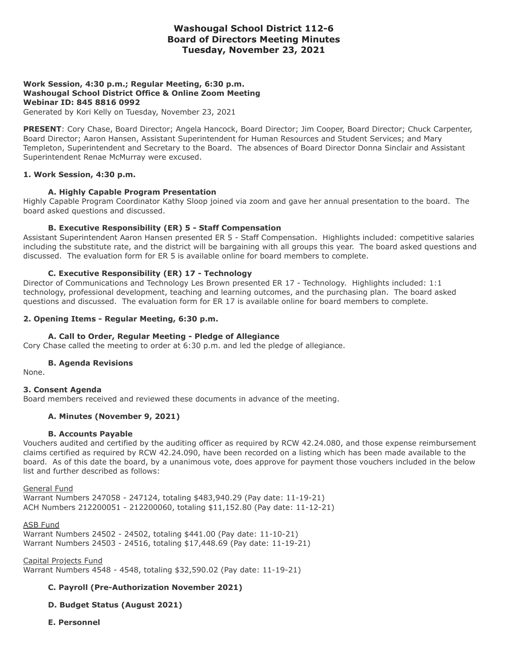# **Washougal School District 112-6 Board of Directors Meeting Minutes Tuesday, November 23, 2021**

# **Work Session, 4:30 p.m.; Regular Meeting, 6:30 p.m. Washougal School District Office & Online Zoom Meeting Webinar ID: 845 8816 0992**

Generated by Kori Kelly on Tuesday, November 23, 2021

**PRESENT**: Cory Chase, Board Director; Angela Hancock, Board Director; Jim Cooper, Board Director; Chuck Carpenter, Board Director; Aaron Hansen, Assistant Superintendent for Human Resources and Student Services; and Mary Templeton, Superintendent and Secretary to the Board. The absences of Board Director Donna Sinclair and Assistant Superintendent Renae McMurray were excused.

## **1. Work Session, 4:30 p.m.**

#### **A. Highly Capable Program Presentation**

Highly Capable Program Coordinator Kathy Sloop joined via zoom and gave her annual presentation to the board. The board asked questions and discussed.

#### **B. Executive Responsibility (ER) 5 - Staff Compensation**

Assistant Superintendent Aaron Hansen presented ER 5 - Staff Compensation. Highlights included: competitive salaries including the substitute rate, and the district will be bargaining with all groups this year. The board asked questions and discussed. The evaluation form for ER 5 is available online for board members to complete.

## **C. Executive Responsibility (ER) 17 - Technology**

Director of Communications and Technology Les Brown presented ER 17 - Technology. Highlights included: 1:1 technology, professional development, teaching and learning outcomes, and the purchasing plan. The board asked questions and discussed. The evaluation form for ER 17 is available online for board members to complete.

#### **2. Opening Items - Regular Meeting, 6:30 p.m.**

#### **A. Call to Order, Regular Meeting - Pledge of Allegiance**

Cory Chase called the meeting to order at 6:30 p.m. and led the pledge of allegiance.

#### **B. Agenda Revisions**

None.

## **3. Consent Agenda**

Board members received and reviewed these documents in advance of the meeting.

## **A. Minutes (November 9, 2021)**

#### **B. Accounts Payable**

Vouchers audited and certified by the auditing officer as required by RCW 42.24.080, and those expense reimbursement claims certified as required by RCW 42.24.090, have been recorded on a listing which has been made available to the board. As of this date the board, by a unanimous vote, does approve for payment those vouchers included in the below list and further described as follows:

General Fund Warrant Numbers 247058 - 247124, totaling \$483,940.29 (Pay date: 11-19-21) ACH Numbers 212200051 - 212200060, totaling \$11,152.80 (Pay date: 11-12-21)

ASB Fund Warrant Numbers 24502 - 24502, totaling \$441.00 (Pay date: 11-10-21) Warrant Numbers 24503 - 24516, totaling \$17,448.69 (Pay date: 11-19-21)

Capital Projects Fund Warrant Numbers 4548 - 4548, totaling \$32,590.02 (Pay date: 11-19-21)

## **C. Payroll (Pre-Authorization November 2021)**

## **D. Budget Status (August 2021)**

**E. Personnel**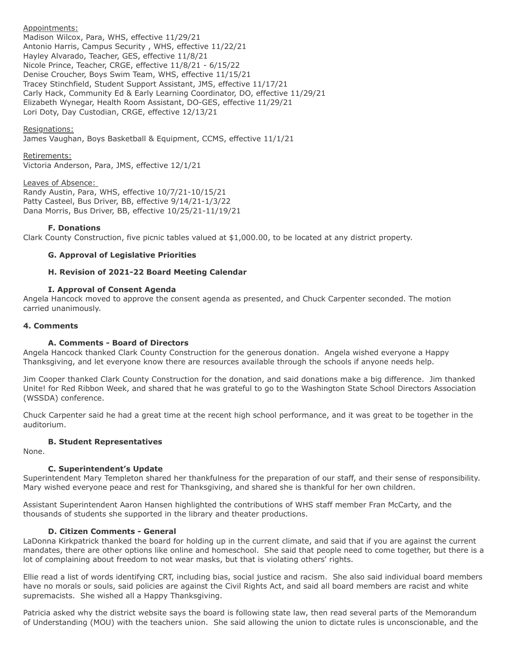# Appointments:

Madison Wilcox, Para, WHS, effective 11/29/21 Antonio Harris, Campus Security , WHS, effective 11/22/21 Hayley Alvarado, Teacher, GES, effective 11/8/21 Nicole Prince, Teacher, CRGE, effective 11/8/21 - 6/15/22 Denise Croucher, Boys Swim Team, WHS, effective 11/15/21 Tracey Stinchfield, Student Support Assistant, JMS, effective 11/17/21 Carly Hack, Community Ed & Early Learning Coordinator, DO, effective 11/29/21 Elizabeth Wynegar, Health Room Assistant, DO-GES, effective 11/29/21 Lori Doty, Day Custodian, CRGE, effective 12/13/21

## Resignations:

James Vaughan, Boys Basketball & Equipment, CCMS, effective 11/1/21

#### Retirements:

Victoria Anderson, Para, JMS, effective 12/1/21

#### Leaves of Absence:

Randy Austin, Para, WHS, effective 10/7/21-10/15/21 Patty Casteel, Bus Driver, BB, effective 9/14/21-1/3/22 Dana Morris, Bus Driver, BB, effective 10/25/21-11/19/21

#### **F. Donations**

Clark County Construction, five picnic tables valued at \$1,000.00, to be located at any district property.

## **G. Approval of Legislative Priorities**

## **H. Revision of 2021-22 Board Meeting Calendar**

#### **I. Approval of Consent Agenda**

Angela Hancock moved to approve the consent agenda as presented, and Chuck Carpenter seconded. The motion carried unanimously.

## **4. Comments**

## **A. Comments - Board of Directors**

Angela Hancock thanked Clark County Construction for the generous donation. Angela wished everyone a Happy Thanksgiving, and let everyone know there are resources available through the schools if anyone needs help.

Jim Cooper thanked Clark County Construction for the donation, and said donations make a big difference. Jim thanked Unite! for Red Ribbon Week, and shared that he was grateful to go to the Washington State School Directors Association (WSSDA) conference.

Chuck Carpenter said he had a great time at the recent high school performance, and it was great to be together in the auditorium.

# **B. Student Representatives**

None.

## **C. Superintendent's Update**

Superintendent Mary Templeton shared her thankfulness for the preparation of our staff, and their sense of responsibility. Mary wished everyone peace and rest for Thanksgiving, and shared she is thankful for her own children.

Assistant Superintendent Aaron Hansen highlighted the contributions of WHS staff member Fran McCarty, and the thousands of students she supported in the library and theater productions.

## **D. Citizen Comments - General**

LaDonna Kirkpatrick thanked the board for holding up in the current climate, and said that if you are against the current mandates, there are other options like online and homeschool. She said that people need to come together, but there is a lot of complaining about freedom to not wear masks, but that is violating others' rights.

Ellie read a list of words identifying CRT, including bias, social justice and racism. She also said individual board members have no morals or souls, said policies are against the Civil Rights Act, and said all board members are racist and white supremacists. She wished all a Happy Thanksgiving.

Patricia asked why the district website says the board is following state law, then read several parts of the Memorandum of Understanding (MOU) with the teachers union. She said allowing the union to dictate rules is unconscionable, and the